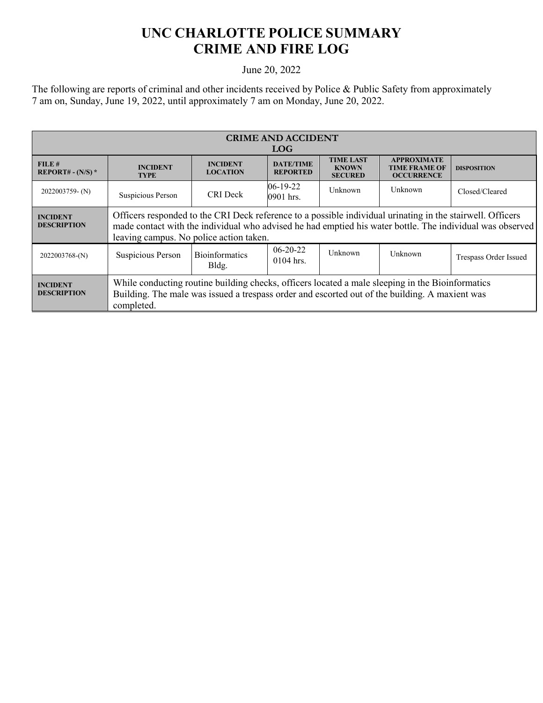## **UNC CHARLOTTE POLICE SUMMARY CRIME AND FIRE LOG**

## June 20, 2022

The following are reports of criminal and other incidents received by Police & Public Safety from approximately 7 am on, Sunday, June 19, 2022, until approximately 7 am on Monday, June 20, 2022.

| <b>CRIME AND ACCIDENT</b><br><b>LOG</b> |                                                                                                                                                                                                                                                                    |                                    |                                     |                                                    |                                                                 |                       |
|-----------------------------------------|--------------------------------------------------------------------------------------------------------------------------------------------------------------------------------------------------------------------------------------------------------------------|------------------------------------|-------------------------------------|----------------------------------------------------|-----------------------------------------------------------------|-----------------------|
| FILE#<br>REPORT# - $(N/S)$ *            | <b>INCIDENT</b><br><b>TYPE</b>                                                                                                                                                                                                                                     | <b>INCIDENT</b><br><b>LOCATION</b> | <b>DATE/TIME</b><br><b>REPORTED</b> | <b>TIME LAST</b><br><b>KNOWN</b><br><b>SECURED</b> | <b>APPROXIMATE</b><br><b>TIME FRAME OF</b><br><b>OCCURRENCE</b> | <b>DISPOSITION</b>    |
| $2022003759 - (N)$                      | Suspicious Person                                                                                                                                                                                                                                                  | <b>CRI</b> Deck                    | $06-19-22$<br>0901 hrs.             | Unknown                                            | Unknown                                                         | Closed/Cleared        |
| <b>INCIDENT</b><br><b>DESCRIPTION</b>   | Officers responded to the CRI Deck reference to a possible individual urinating in the stairwell. Officers<br>made contact with the individual who advised he had emptied his water bottle. The individual was observed<br>leaving campus. No police action taken. |                                    |                                     |                                                    |                                                                 |                       |
| 2022003768-(N)                          | Suspicious Person                                                                                                                                                                                                                                                  | <b>Bioinformatics</b><br>Bldg.     | $06-20-22$<br>0104 hrs.             | Unknown                                            | Unknown                                                         | Trespass Order Issued |
| <b>INCIDENT</b><br><b>DESCRIPTION</b>   | While conducting routine building checks, officers located a male sleeping in the Bioinformatics<br>Building. The male was issued a trespass order and escorted out of the building. A maxient was<br>completed.                                                   |                                    |                                     |                                                    |                                                                 |                       |